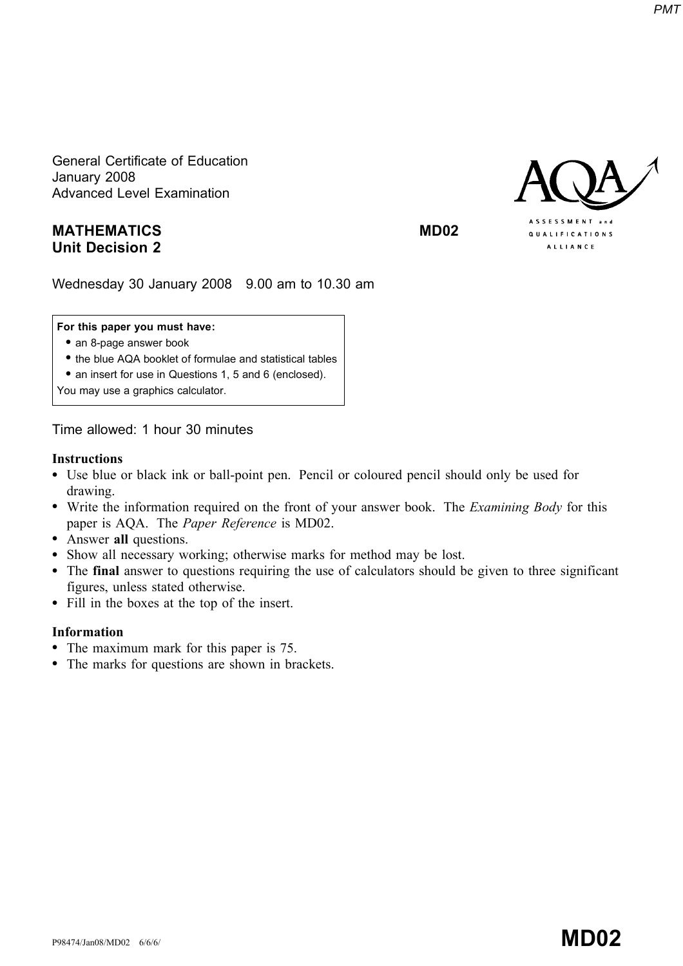General Certificate of Education January 2008 Advanced Level Examination

# MATHEMATICS MD02 Unit Decision 2



Wednesday 30 January 2008 9.00 am to 10.30 am

## For this paper you must have:

- an 8-page answer book
- \* the blue AQA booklet of formulae and statistical tables
- an insert for use in Questions 1, 5 and 6 (enclosed).

You may use a graphics calculator.

Time allowed: 1 hour 30 minutes

## **Instructions**

- \* Use blue or black ink or ball-point pen. Pencil or coloured pencil should only be used for drawing.
- Write the information required on the front of your answer book. The *Examining Body* for this paper is AQA. The Paper Reference is MD02.
- Answer all questions.
- \* Show all necessary working; otherwise marks for method may be lost.
- \* The final answer to questions requiring the use of calculators should be given to three significant figures, unless stated otherwise.
- \* Fill in the boxes at the top of the insert.

## Information

- The maximum mark for this paper is 75.
- The marks for questions are shown in brackets.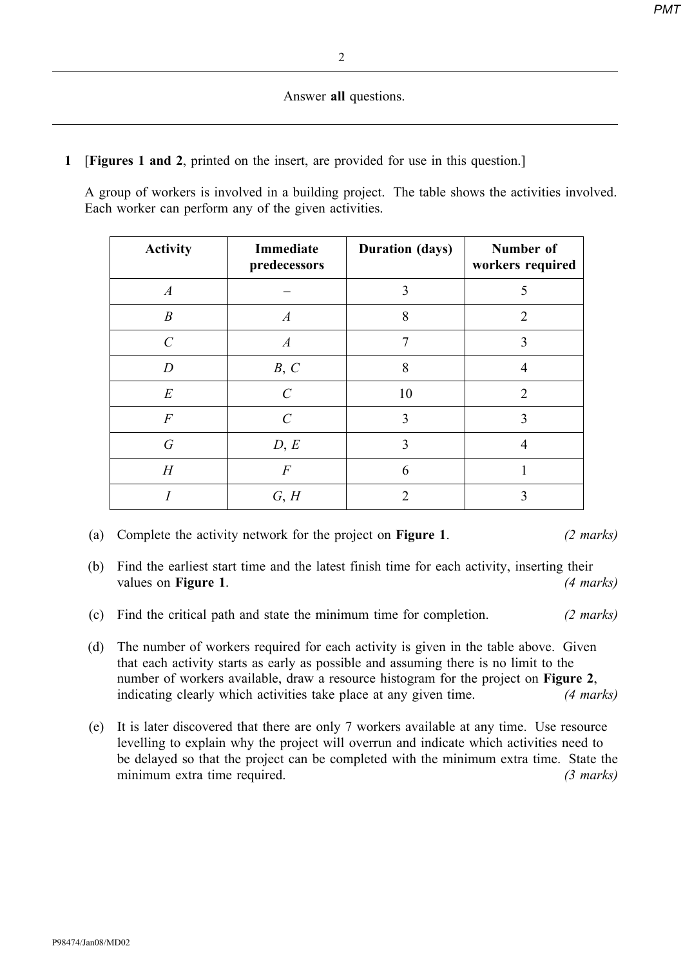## Answer all questions.

1 [Figures 1 and 2, printed on the insert, are provided for use in this question.]

A group of workers is involved in a building project. The table shows the activities involved. Each worker can perform any of the given activities.

| <b>Activity</b>  | Immediate<br>predecessors | <b>Duration (days)</b> | Number of<br>workers required |
|------------------|---------------------------|------------------------|-------------------------------|
| $\boldsymbol{A}$ |                           | 3                      | 5                             |
| $\boldsymbol{B}$ | $\boldsymbol{A}$          | 8                      | $\overline{2}$                |
| $\mathcal{C}$    | $\boldsymbol{A}$          | 7                      | 3                             |
| $\overline{D}$   | B, C                      | 8                      | 4                             |
| $E_{\rm}$        | $\mathcal{C}$             | 10                     | $\overline{2}$                |
| $\cal F$         | $\mathcal{C}$             | 3                      | 3                             |
| $\boldsymbol{G}$ | D, E                      | 3                      |                               |
| H                | $\boldsymbol{F}$          | 6                      |                               |
|                  | G, H                      |                        |                               |

- (a) Complete the activity network for the project on **Figure 1**. (2 marks)
- (b) Find the earliest start time and the latest finish time for each activity, inserting their values on **Figure 1.** (4 marks)
- (c) Find the critical path and state the minimum time for completion. (2 marks)
- (d) The number of workers required for each activity is given in the table above. Given that each activity starts as early as possible and assuming there is no limit to the number of workers available, draw a resource histogram for the project on Figure 2, indicating clearly which activities take place at any given time. (4 marks)
- (e) It is later discovered that there are only 7 workers available at any time. Use resource levelling to explain why the project will overrun and indicate which activities need to be delayed so that the project can be completed with the minimum extra time. State the minimum extra time required. (3 marks)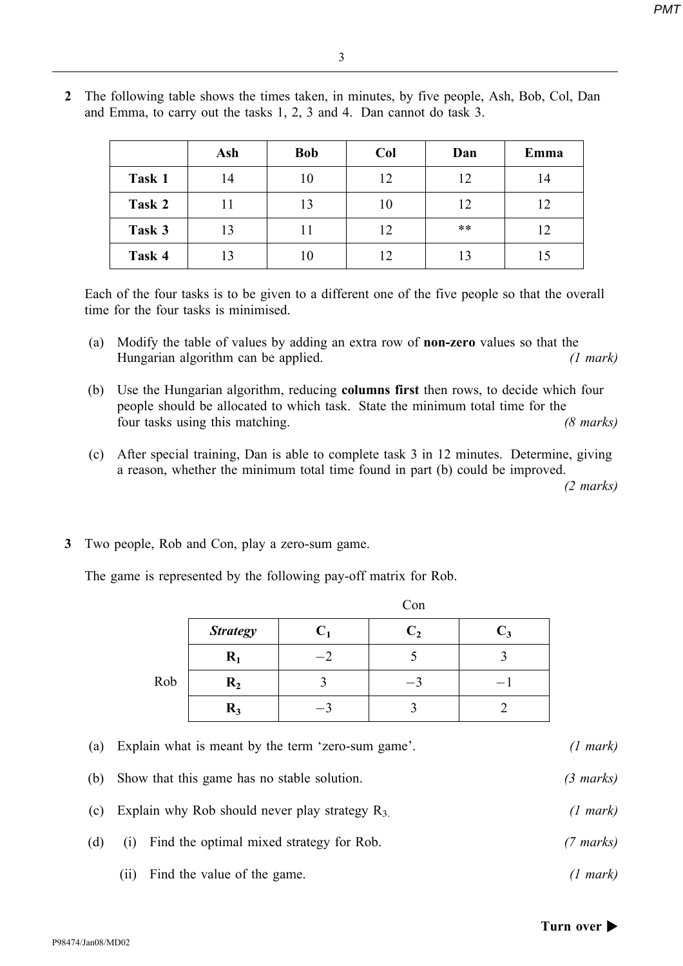|        | Ash | <b>Bob</b> | Col | Dan   | Emma |
|--------|-----|------------|-----|-------|------|
| Task 1 | 14  | 10         | 12  | 12    | 14   |
| Task 2 | 11  | 13         | 10  | 12    | 12   |
| Task 3 | 13  | 11         | 12  | $***$ | 12   |
| Task 4 | 13  | 10         | 12  | 13    | 15   |

2 The following table shows the times taken, in minutes, by five people, Ash, Bob, Col, Dan and Emma, to carry out the tasks 1, 2, 3 and 4. Dan cannot do task 3.

Each of the four tasks is to be given to a different one of the five people so that the overall time for the four tasks is minimised.

- (a) Modify the table of values by adding an extra row of non-zero values so that the Hungarian algorithm can be applied. (1 mark)
- (b) Use the Hungarian algorithm, reducing columns first then rows, to decide which four people should be allocated to which task. State the minimum total time for the four tasks using this matching. (8 marks)
- (c) After special training, Dan is able to complete task 3 in 12 minutes. Determine, giving a reason, whether the minimum total time found in part (b) could be improved.

(2 marks)

3 Two people, Rob and Con, play a zero-sum game.

The game is represented by the following pay-off matrix for Rob.

|     | <b>Strategy</b> |  |  |
|-----|-----------------|--|--|
|     | $\mathbf{R}_1$  |  |  |
| Rob | R <sub>2</sub>  |  |  |
|     | $R_3$           |  |  |

Con

(a) Explain what is meant by the term 'zero-sum game'. (1 mark) (b) Show that this game has no stable solution. (3 marks) (c) Explain why Rob should never play strategy  $R_3$  (1 mark)

- (d) (i) Find the optimal mixed strategy for Rob. (7 marks)
	- (ii) Find the value of the game. (1 mark)

## Turn over  $\blacktriangleright$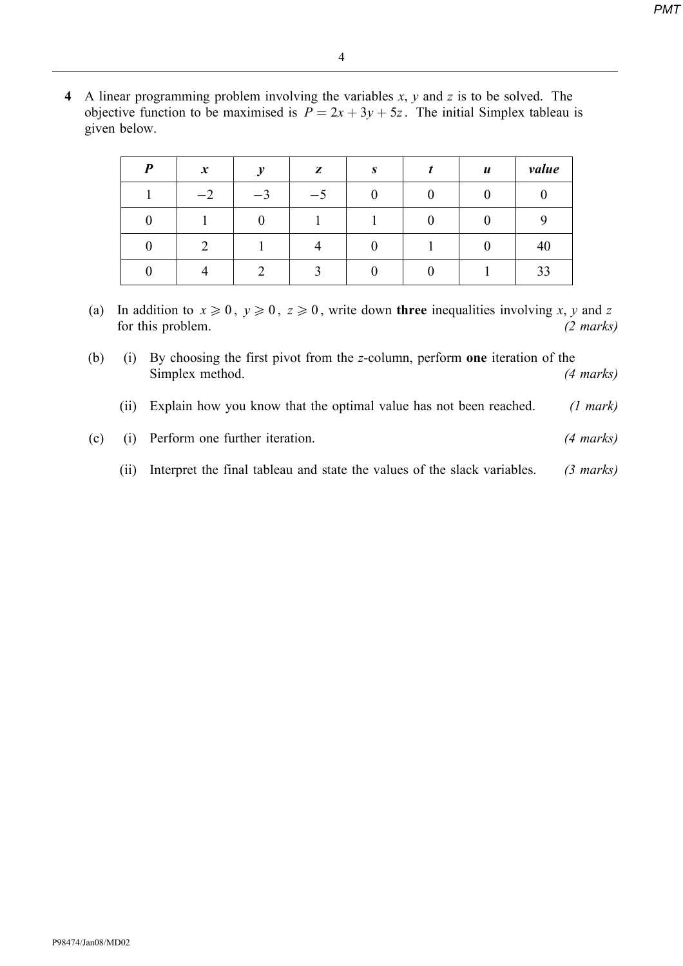- 4
- 4 A linear programming problem involving the variables  $x$ ,  $y$  and  $z$  is to be solved. The objective function to be maximised is  $P = 2x + 3y + 5z$ . The initial Simplex tableau is given below.

| $\boldsymbol{P}$ | $\boldsymbol{x}$ | $\boldsymbol{v}$ | z                 | S | $\boldsymbol{u}$ | value |
|------------------|------------------|------------------|-------------------|---|------------------|-------|
|                  | $-2$             | $-3$             | $-5$              |   |                  |       |
|                  |                  |                  |                   |   |                  |       |
|                  | ◠                |                  |                   |   |                  | 40    |
|                  |                  | ◠                | $\mathbf{\Omega}$ |   |                  | 33    |

- (a) In addition to  $x \ge 0$ ,  $y \ge 0$ ,  $z \ge 0$ , write down three inequalities involving x, y and z for this problem. (2 marks)
- (b) (i) By choosing the first pivot from the z-column, perform one iteration of the Simplex method. (4 marks)
	- (ii) Explain how you know that the optimal value has not been reached. (1 mark)
- (c) (i) Perform one further iteration. (4 marks)
	- (ii) Interpret the final tableau and state the values of the slack variables. (3 marks)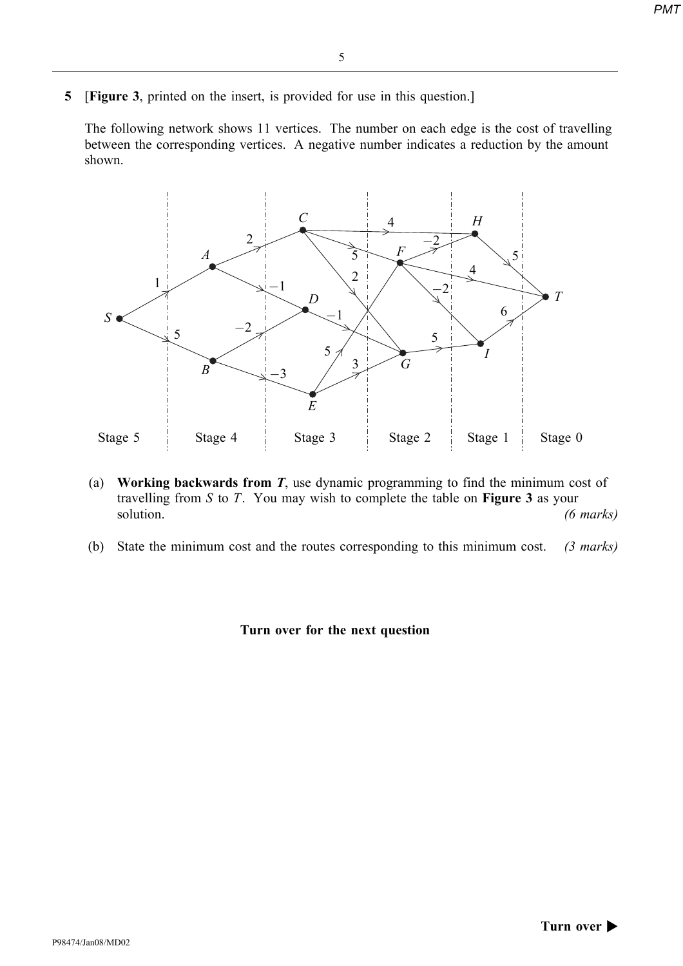- 5
- 5 [Figure 3, printed on the insert, is provided for use in this question.]

The following network shows 11 vertices. The number on each edge is the cost of travelling between the corresponding vertices. A negative number indicates a reduction by the amount shown.



- (a) Working backwards from  $T$ , use dynamic programming to find the minimum cost of travelling from  $S$  to  $T$ . You may wish to complete the table on **Figure 3** as your solution. (6 marks)
- (b) State the minimum cost and the routes corresponding to this minimum cost. (3 marks)

## Turn over for the next question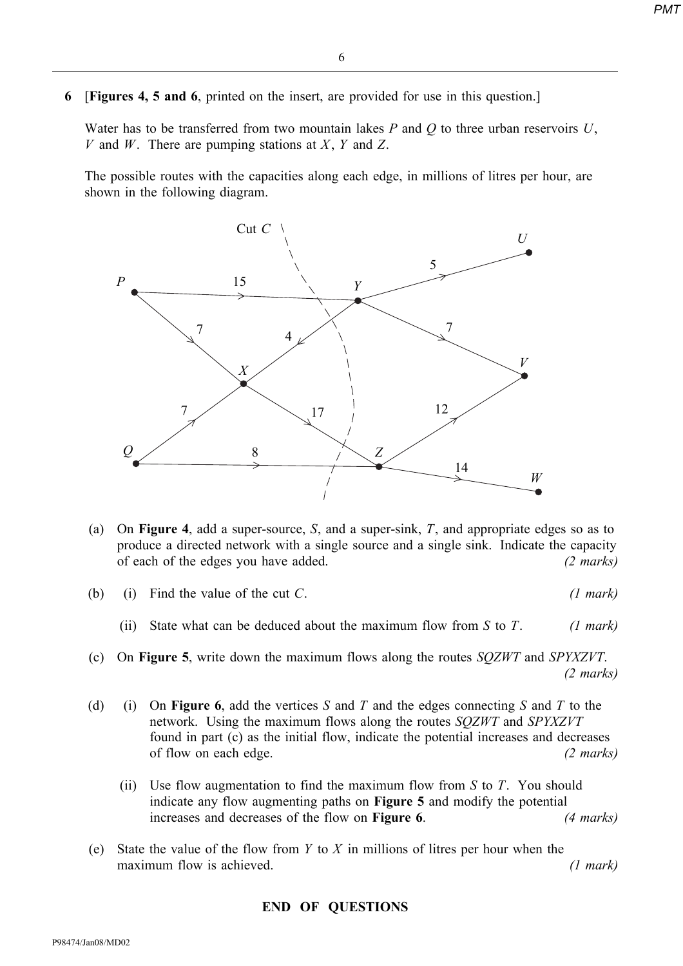6 [Figures 4, 5 and 6, printed on the insert, are provided for use in this question.]

Water has to be transferred from two mountain lakes  $P$  and  $Q$  to three urban reservoirs  $U$ , V and W. There are pumping stations at X, Y and Z.

The possible routes with the capacities along each edge, in millions of litres per hour, are shown in the following diagram.



- (a) On Figure 4, add a super-source, S, and a super-sink, T, and appropriate edges so as to produce a directed network with a single source and a single sink. Indicate the capacity of each of the edges you have added. (2 marks)
- (b) (i) Find the value of the cut  $C$ . (1 mark)
	- (ii) State what can be deduced about the maximum flow from S to T. (1 mark)
- (c) On Figure 5, write down the maximum flows along the routes SQZWT and SPYXZVT. (2 marks)
- (d) (i) On **Figure 6,** add the vertices S and T and the edges connecting S and T to the network. Using the maximum flows along the routes SQZWT and SPYXZVT found in part (c) as the initial flow, indicate the potential increases and decreases of flow on each edge. (2 marks)  $\frac{2 \text{ marks}}{2}$ 
	- (ii) Use flow augmentation to find the maximum flow from  $S$  to  $T$ . You should indicate any flow augmenting paths on Figure 5 and modify the potential increases and decreases of the flow on **Figure 6**. (4 marks)
- (e) State the value of the flow from  $Y$  to  $X$  in millions of litres per hour when the maximum flow is achieved. (1 mark)

## END OF QUESTIONS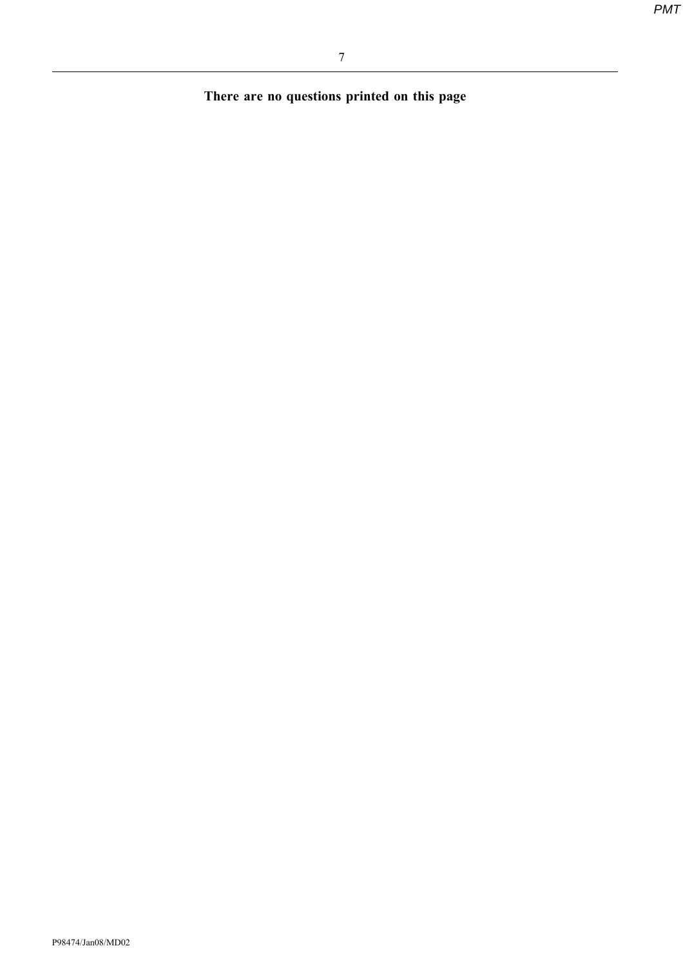There are no questions printed on this page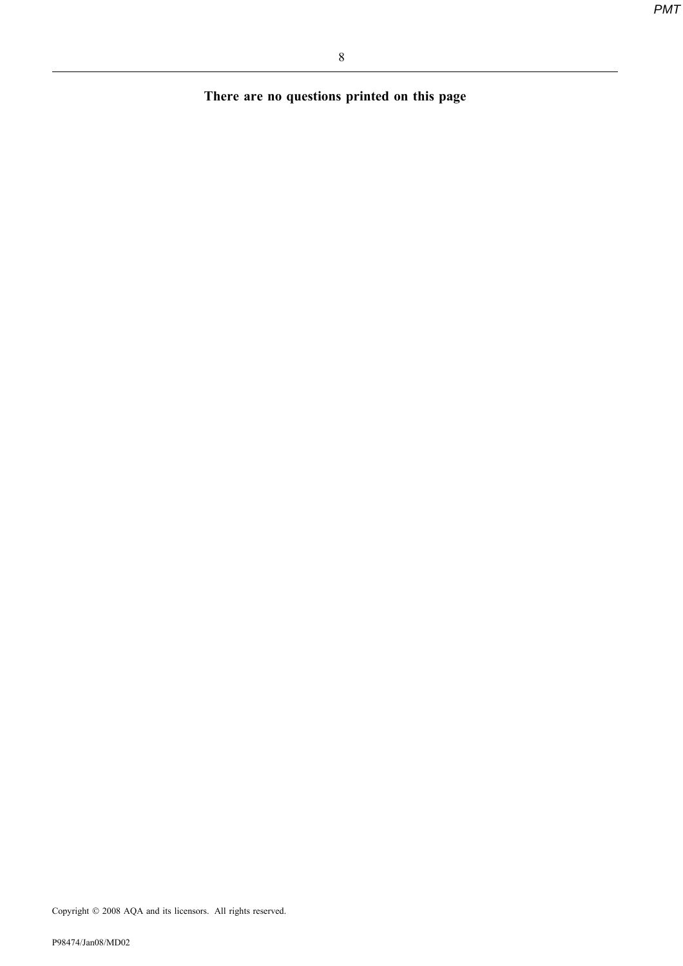There are no questions printed on this page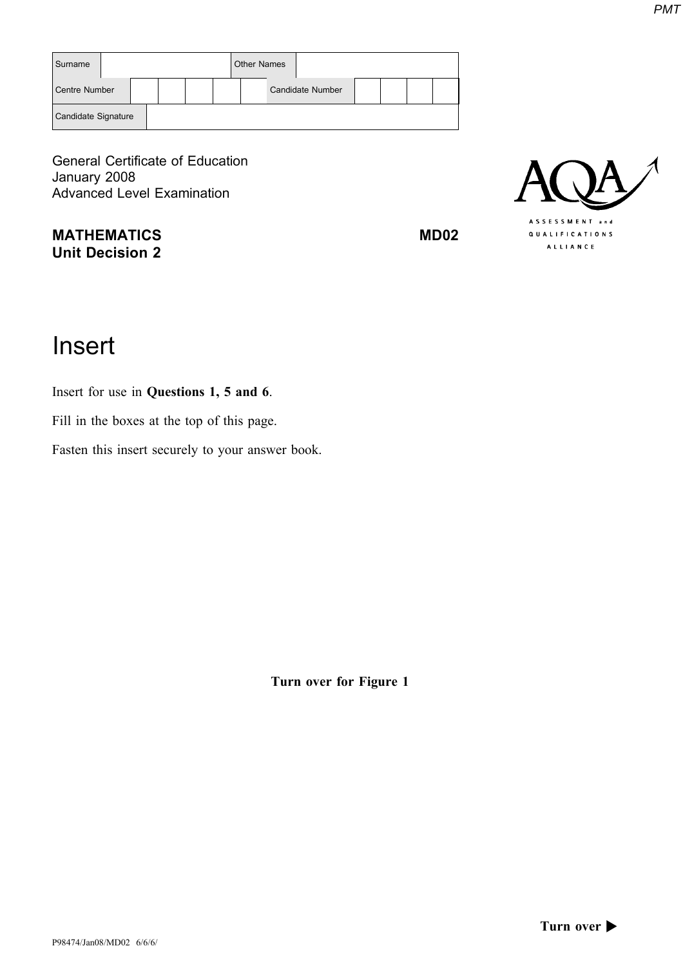| Surname             |  |  | <b>Other Names</b> |                         |  |  |
|---------------------|--|--|--------------------|-------------------------|--|--|
| Centre Number       |  |  |                    | <b>Candidate Number</b> |  |  |
| Candidate Signature |  |  |                    |                         |  |  |

General Certificate of Education January 2008 Advanced Level Examination

MATHEMATICS MD02 Unit Decision 2



# Insert

Insert for use in Questions 1, 5 and 6.

Fill in the boxes at the top of this page.

Fasten this insert securely to your answer book.

Turn over for Figure 1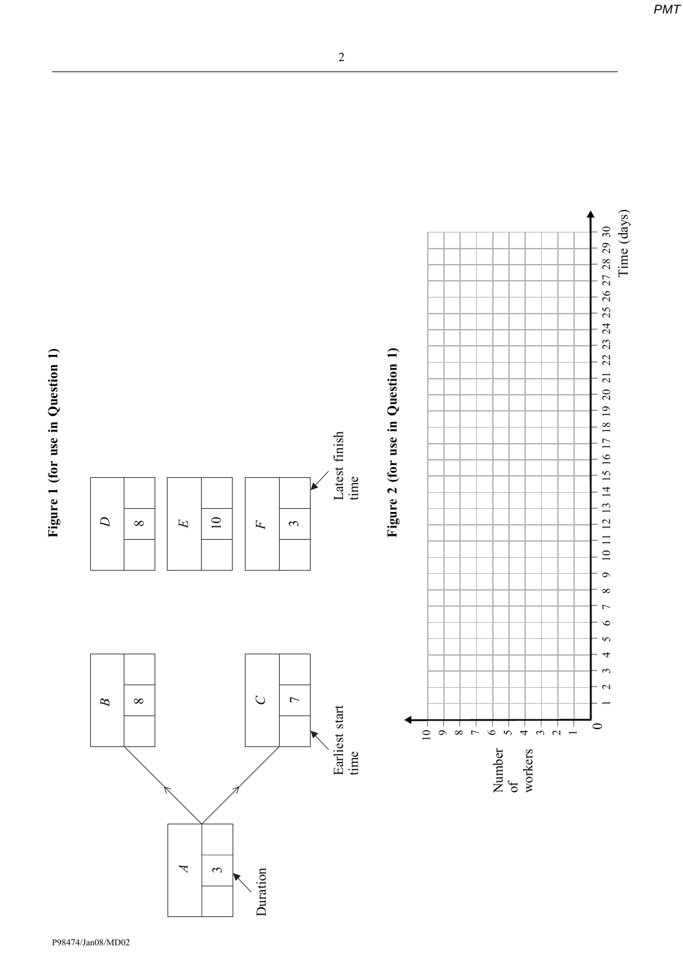Figure 1 (for use in Question 1) Figure 1 (for use in Question 1)



2

 $\circ$  $\infty$  $\overline{a}$  $\bullet$ in 4  $\tilde{\mathfrak{c}}$  $\sim$ 

Time (days)

Time (days)

 $\circ$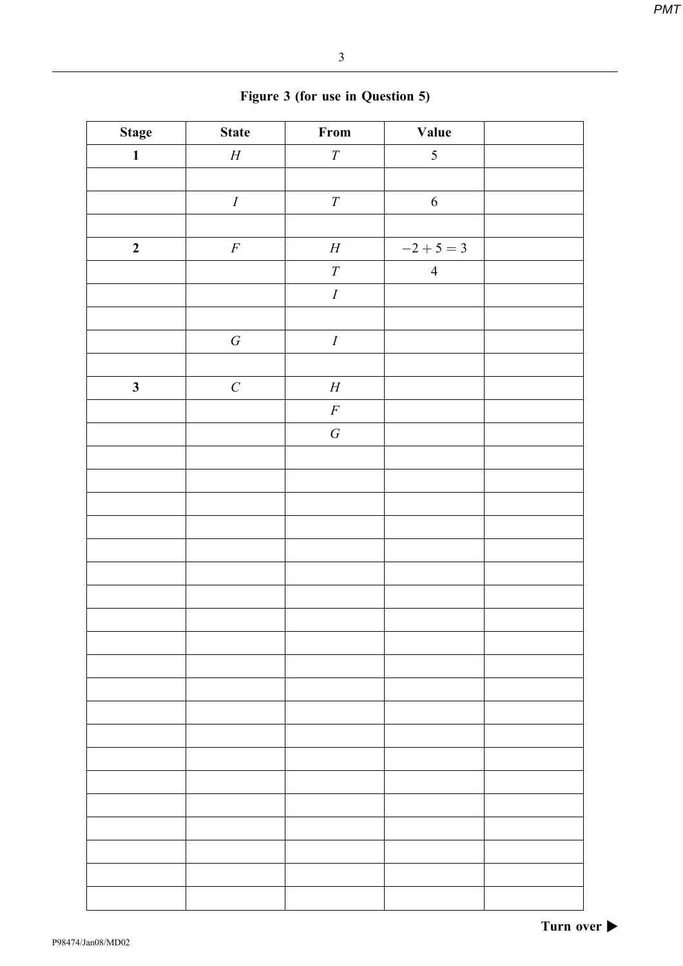| <b>Stage</b>     | <b>State</b>     | $\ensuremath{\textnormal{\textbf{From}}}$ | Value          |  |
|------------------|------------------|-------------------------------------------|----------------|--|
| $\mathbf{1}$     | $\boldsymbol{H}$ | $\cal T$                                  | $\mathfrak{S}$ |  |
|                  |                  |                                           |                |  |
|                  | $\cal I$         | $\cal T$                                  | $\sqrt{6}$     |  |
|                  |                  |                                           |                |  |
| $\boldsymbol{2}$ | $\cal F$         | $\boldsymbol{H}$                          | $-2 + 5 = 3$   |  |
|                  |                  | ${\cal T}$                                | $\overline{4}$ |  |
|                  |                  | $\cal I$                                  |                |  |
|                  |                  |                                           |                |  |
|                  | ${\cal G}$       | $\cal I$                                  |                |  |
|                  |                  |                                           |                |  |
| $\mathbf{3}$     | $\cal C$         | $\boldsymbol{H}$                          |                |  |
|                  |                  | $\cal F$                                  |                |  |
|                  |                  | $\cal G$                                  |                |  |
|                  |                  |                                           |                |  |
|                  |                  |                                           |                |  |
|                  |                  |                                           |                |  |
|                  |                  |                                           |                |  |
|                  |                  |                                           |                |  |
|                  |                  |                                           |                |  |
|                  |                  |                                           |                |  |
|                  |                  |                                           |                |  |
|                  |                  |                                           |                |  |
|                  |                  |                                           |                |  |
|                  |                  |                                           |                |  |
|                  |                  |                                           |                |  |
|                  |                  |                                           |                |  |
|                  |                  |                                           |                |  |
|                  |                  |                                           |                |  |
|                  |                  |                                           |                |  |
|                  |                  |                                           |                |  |
|                  |                  |                                           |                |  |
|                  |                  |                                           |                |  |
|                  |                  |                                           |                |  |

|  |  |  |  | Figure 3 (for use in Question 5) |  |
|--|--|--|--|----------------------------------|--|
|--|--|--|--|----------------------------------|--|